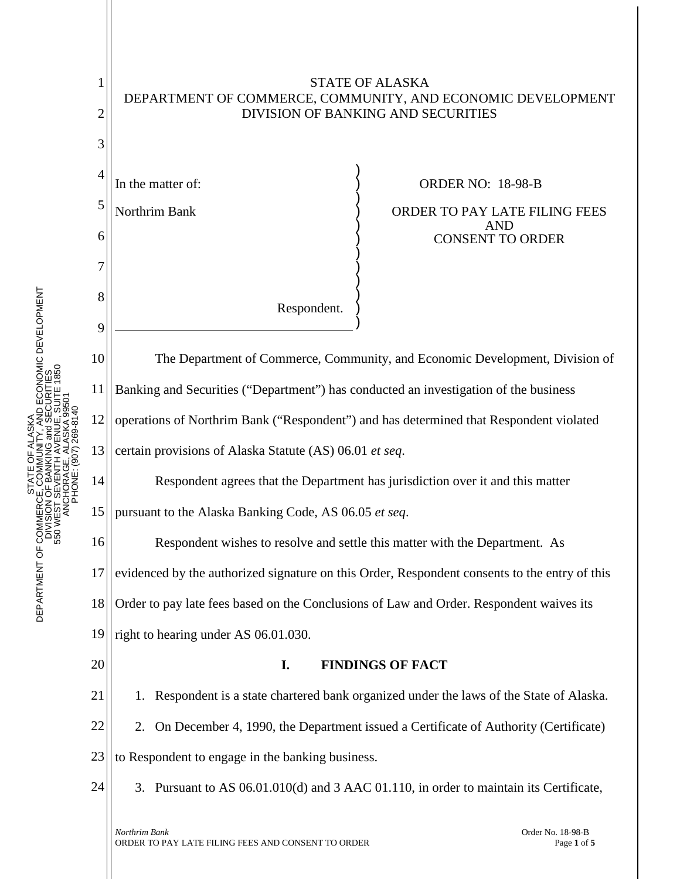

ORDER TO PAY LATE FILING FEES AND CONSENT TO ORDER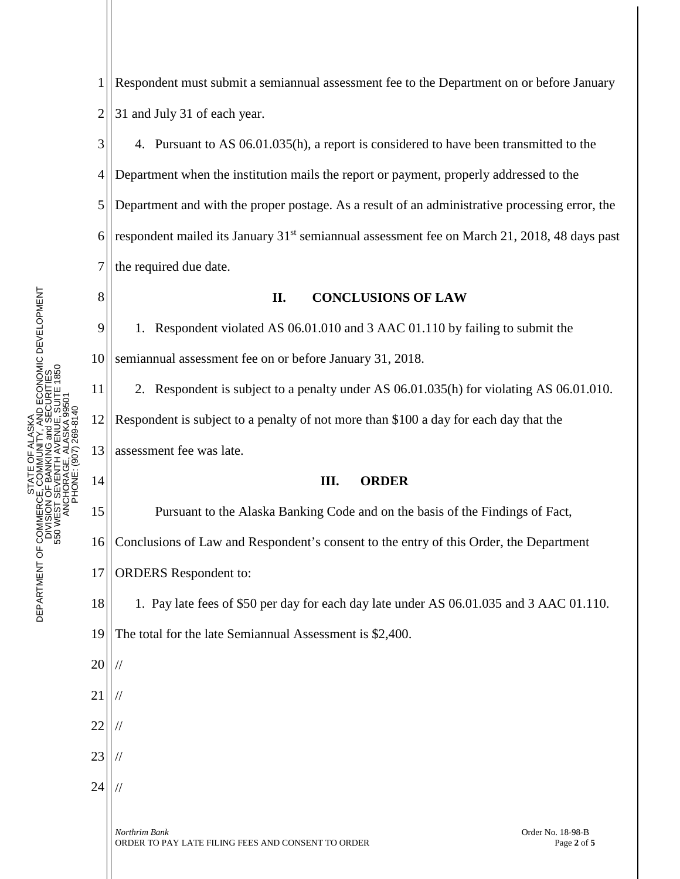8

10

14

1 2 Respondent must submit a semiannual assessment fee to the Department on or before January 31 and July 31 of each year.

3 4 5 6 7 4. Pursuant to AS 06.01.035(h), a report is considered to have been transmitted to the Department when the institution mails the report or payment, properly addressed to the Department and with the proper postage. As a result of an administrative processing error, the respondent mailed its January 31<sup>st</sup> semiannual assessment fee on March 21, 2018, 48 days past the required due date.

## **II. CONCLUSIONS OF LAW**

9 1. Respondent violated AS 06.01.010 and 3 AAC 01.110 by failing to submit the semiannual assessment fee on or before January 31, 2018.

11 12 13 2. Respondent is subject to a penalty under AS 06.01.035(h) for violating AS 06.01.010. Respondent is subject to a penalty of not more than \$100 a day for each day that the assessment fee was late.

## **III. ORDER**

15 16 17 Pursuant to the Alaska Banking Code and on the basis of the Findings of Fact, Conclusions of Law and Respondent's consent to the entry of this Order, the Department ORDERS Respondent to:

18 1. Pay late fees of \$50 per day for each day late under AS 06.01.035 and 3 AAC 01.110.

19 The total for the late Semiannual Assessment is \$2,400.

- 20 //
- 21 //
- 22 //
- 23 //
- 24 //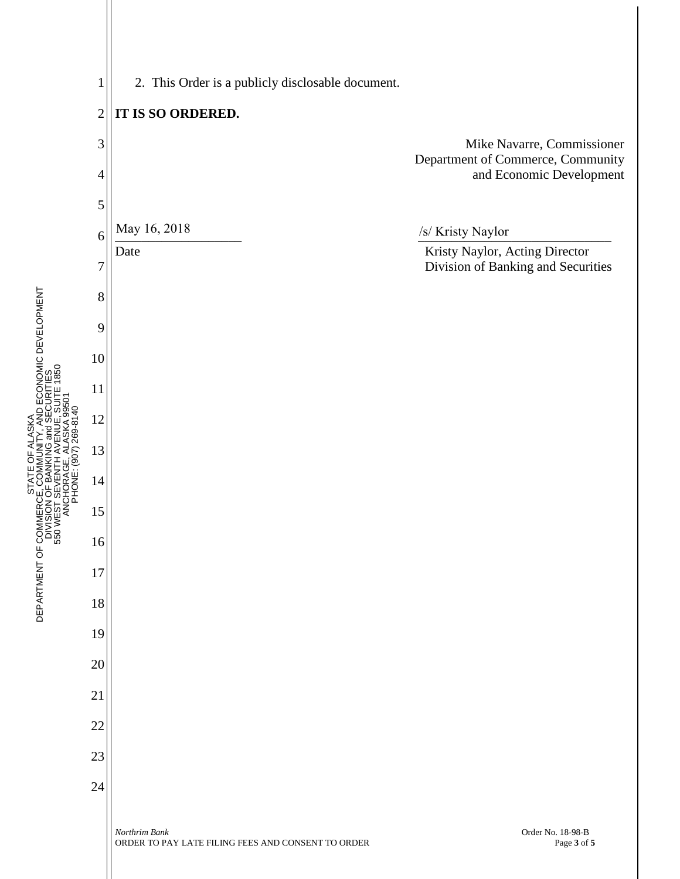

## 2 **IT IS SO ORDERED.**

STATE OF ALASKA DEPARTMENT OF COMMERCE, COMMUNITY, AND ECONOMIC DEVELOPMENT DIVISION OF BANKING and SECURITIES 550 WEST SEVENTH AVENUE, SUITE 1850 ANCHORAGE, ALASKA 99501

STATE C<br>COMM<br>OF BANK

OF ALASKA

LASKA<br>TY, AICONOMIC DEVELOPMENT<br>ENUE, SUITE 1850<br>ENUE, SUITE 1850

SIEN<br>VEIN Ξ ⋖

S

DEPARTMENT OF COMMERCE<br>DIVISION<br>S50 WEST S

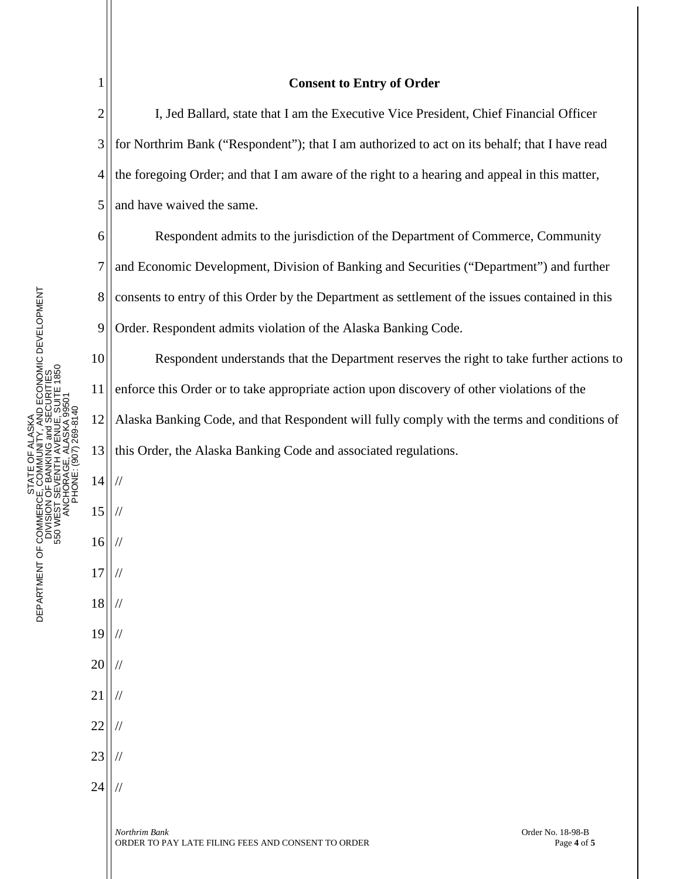| $\mathbf{1}$   | <b>Consent to Entry of Order</b>                                                                        |
|----------------|---------------------------------------------------------------------------------------------------------|
| $\overline{c}$ | I, Jed Ballard, state that I am the Executive Vice President, Chief Financial Officer                   |
| 3              | for Northrim Bank ("Respondent"); that I am authorized to act on its behalf; that I have read           |
| $\overline{4}$ | the foregoing Order; and that I am aware of the right to a hearing and appeal in this matter,           |
| 5              | and have waived the same.                                                                               |
| 6              | Respondent admits to the jurisdiction of the Department of Commerce, Community                          |
| 7              | and Economic Development, Division of Banking and Securities ("Department") and further                 |
| 8              | consents to entry of this Order by the Department as settlement of the issues contained in this         |
| 9              | Order. Respondent admits violation of the Alaska Banking Code.                                          |
| 10             | Respondent understands that the Department reserves the right to take further actions to                |
| 11             | enforce this Order or to take appropriate action upon discovery of other violations of the              |
| 12             | Alaska Banking Code, and that Respondent will fully comply with the terms and conditions of             |
| 13             | this Order, the Alaska Banking Code and associated regulations.                                         |
| 14             | $\frac{1}{2}$                                                                                           |
| 15             | $\frac{1}{2}$                                                                                           |
| 16             | $\frac{1}{2}$                                                                                           |
| 17             | $\frac{1}{2}$                                                                                           |
| 18             | $^{\prime\prime}$                                                                                       |
| 19             | $\prime\prime$                                                                                          |
| 20             |                                                                                                         |
| 21             |                                                                                                         |
| 22             | 77                                                                                                      |
| 23             |                                                                                                         |
| 24             |                                                                                                         |
|                | Order No. 18-98-B<br>Northrim Bank<br>ORDER TO PAY LATE FILING FEES AND CONSENT TO ORDER<br>Page 4 of 5 |